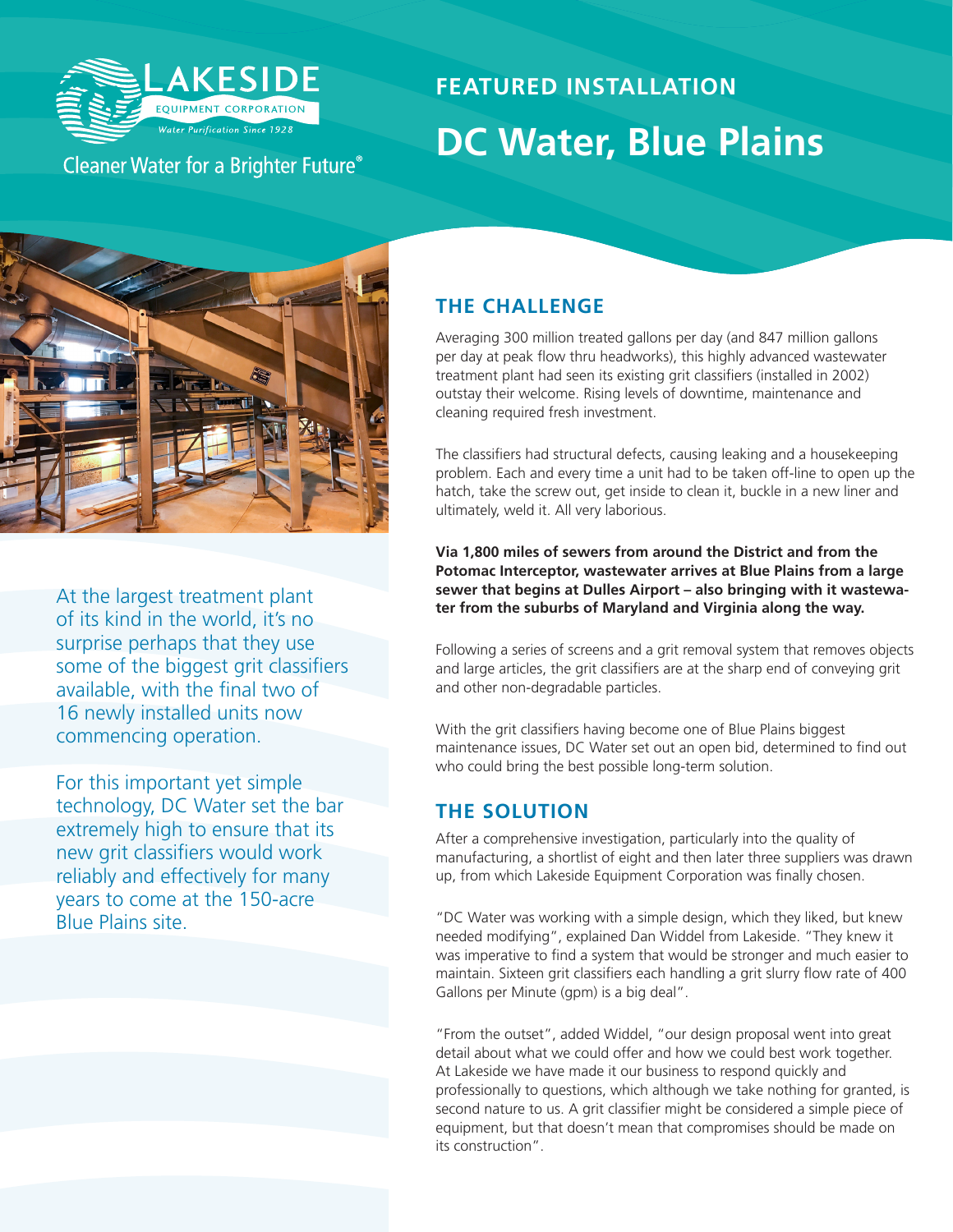

## Cleaner Water for a Brighter Future®

# **FEATURED INSTALLATION DC Water, Blue Plains**



At the largest treatment plant of its kind in the world, it's no surprise perhaps that they use some of the biggest grit classifiers available, with the final two of 16 newly installed units now commencing operation.

For this important yet simple technology, DC Water set the bar extremely high to ensure that its new grit classifiers would work reliably and effectively for many years to come at the 150-acre Blue Plains site.

### **THE CHALLENGE**

Averaging 300 million treated gallons per day (and 847 million gallons per day at peak flow thru headworks), this highly advanced wastewater treatment plant had seen its existing grit classifiers (installed in 2002) outstay their welcome. Rising levels of downtime, maintenance and cleaning required fresh investment.

The classifiers had structural defects, causing leaking and a housekeeping problem. Each and every time a unit had to be taken off-line to open up the hatch, take the screw out, get inside to clean it, buckle in a new liner and ultimately, weld it. All very laborious.

**Via 1,800 miles of sewers from around the District and from the Potomac Interceptor, wastewater arrives at Blue Plains from a large sewer that begins at Dulles Airport – also bringing with it wastewater from the suburbs of Maryland and Virginia along the way.** 

Following a series of screens and a grit removal system that removes objects and large articles, the grit classifiers are at the sharp end of conveying grit and other non-degradable particles.

With the grit classifiers having become one of Blue Plains biggest maintenance issues, DC Water set out an open bid, determined to find out who could bring the best possible long-term solution.

#### **THE SOLUTION**

After a comprehensive investigation, particularly into the quality of manufacturing, a shortlist of eight and then later three suppliers was drawn up, from which Lakeside Equipment Corporation was finally chosen.

"DC Water was working with a simple design, which they liked, but knew needed modifying", explained Dan Widdel from Lakeside. "They knew it was imperative to find a system that would be stronger and much easier to maintain. Sixteen grit classifiers each handling a grit slurry flow rate of 400 Gallons per Minute (gpm) is a big deal".

"From the outset", added Widdel, "our design proposal went into great detail about what we could offer and how we could best work together. At Lakeside we have made it our business to respond quickly and professionally to questions, which although we take nothing for granted, is second nature to us. A grit classifier might be considered a simple piece of equipment, but that doesn't mean that compromises should be made on its construction".